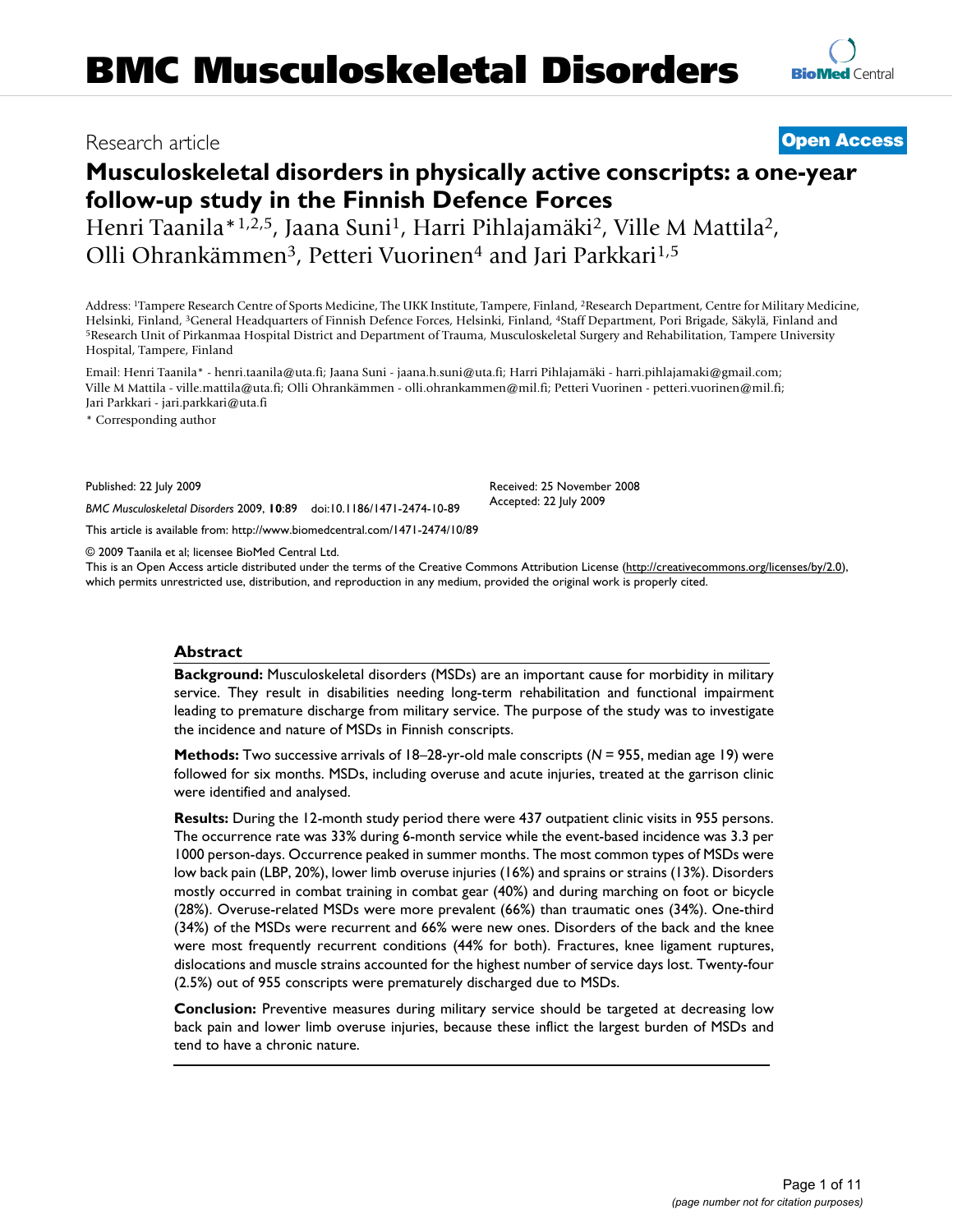# **Musculoskeletal disorders in physically active conscripts: a one-year follow-up study in the Finnish Defence Forces**

Henri Taanila\*1,2,5, Jaana Suni1, Harri Pihlajamäki2, Ville M Mattila2, Olli Ohrankämmen3, Petteri Vuorinen4 and Jari Parkkari1,5

Address: 1Tampere Research Centre of Sports Medicine, The UKK Institute, Tampere, Finland, 2Research Department, Centre for Military Medicine, Helsinki, Finland, <sup>3</sup>General Headquarters of Finnish Defence Forces, Helsinki, Finland, <sup>4</sup>Staff Department, Pori Brigade, Säkylä, Finland and<br><sup>5</sup>Research Unit of Pirkanmaa Hospital District and Department of Trauma, Musc Hospital, Tampere, Finland

Email: Henri Taanila\* - henri.taanila@uta.fi; Jaana Suni - jaana.h.suni@uta.fi; Harri Pihlajamäki - harri.pihlajamaki@gmail.com; Ville M Mattila - ville.mattila@uta.fi; Olli Ohrankämmen - olli.ohrankammen@mil.fi; Petteri Vuorinen - petteri.vuorinen@mil.fi; Jari Parkkari - jari.parkkari@uta.fi

\* Corresponding author

Published: 22 July 2009

*BMC Musculoskeletal Disorders* 2009, **10**:89 doi:10.1186/1471-2474-10-89

[This article is available from: http://www.biomedcentral.com/1471-2474/10/89](http://www.biomedcentral.com/1471-2474/10/89)

© 2009 Taanila et al; licensee BioMed Central Ltd.

This is an Open Access article distributed under the terms of the Creative Commons Attribution License [\(http://creativecommons.org/licenses/by/2.0\)](http://creativecommons.org/licenses/by/2.0), which permits unrestricted use, distribution, and reproduction in any medium, provided the original work is properly cited.

#### **Abstract**

**Background:** Musculoskeletal disorders (MSDs) are an important cause for morbidity in military service. They result in disabilities needing long-term rehabilitation and functional impairment leading to premature discharge from military service. The purpose of the study was to investigate the incidence and nature of MSDs in Finnish conscripts.

**Methods:** Two successive arrivals of 18–28-yr-old male conscripts (*N* = 955, median age 19) were followed for six months. MSDs, including overuse and acute injuries, treated at the garrison clinic were identified and analysed.

**Results:** During the 12-month study period there were 437 outpatient clinic visits in 955 persons. The occurrence rate was 33% during 6-month service while the event-based incidence was 3.3 per 1000 person-days. Occurrence peaked in summer months. The most common types of MSDs were low back pain (LBP, 20%), lower limb overuse injuries (16%) and sprains or strains (13%). Disorders mostly occurred in combat training in combat gear (40%) and during marching on foot or bicycle (28%). Overuse-related MSDs were more prevalent (66%) than traumatic ones (34%). One-third (34%) of the MSDs were recurrent and 66% were new ones. Disorders of the back and the knee were most frequently recurrent conditions (44% for both). Fractures, knee ligament ruptures, dislocations and muscle strains accounted for the highest number of service days lost. Twenty-four (2.5%) out of 955 conscripts were prematurely discharged due to MSDs.

**Conclusion:** Preventive measures during military service should be targeted at decreasing low back pain and lower limb overuse injuries, because these inflict the largest burden of MSDs and tend to have a chronic nature.

# Research article **[Open Access](http://www.biomedcentral.com/info/about/charter/)**

Received: 25 November 2008 Accepted: 22 July 2009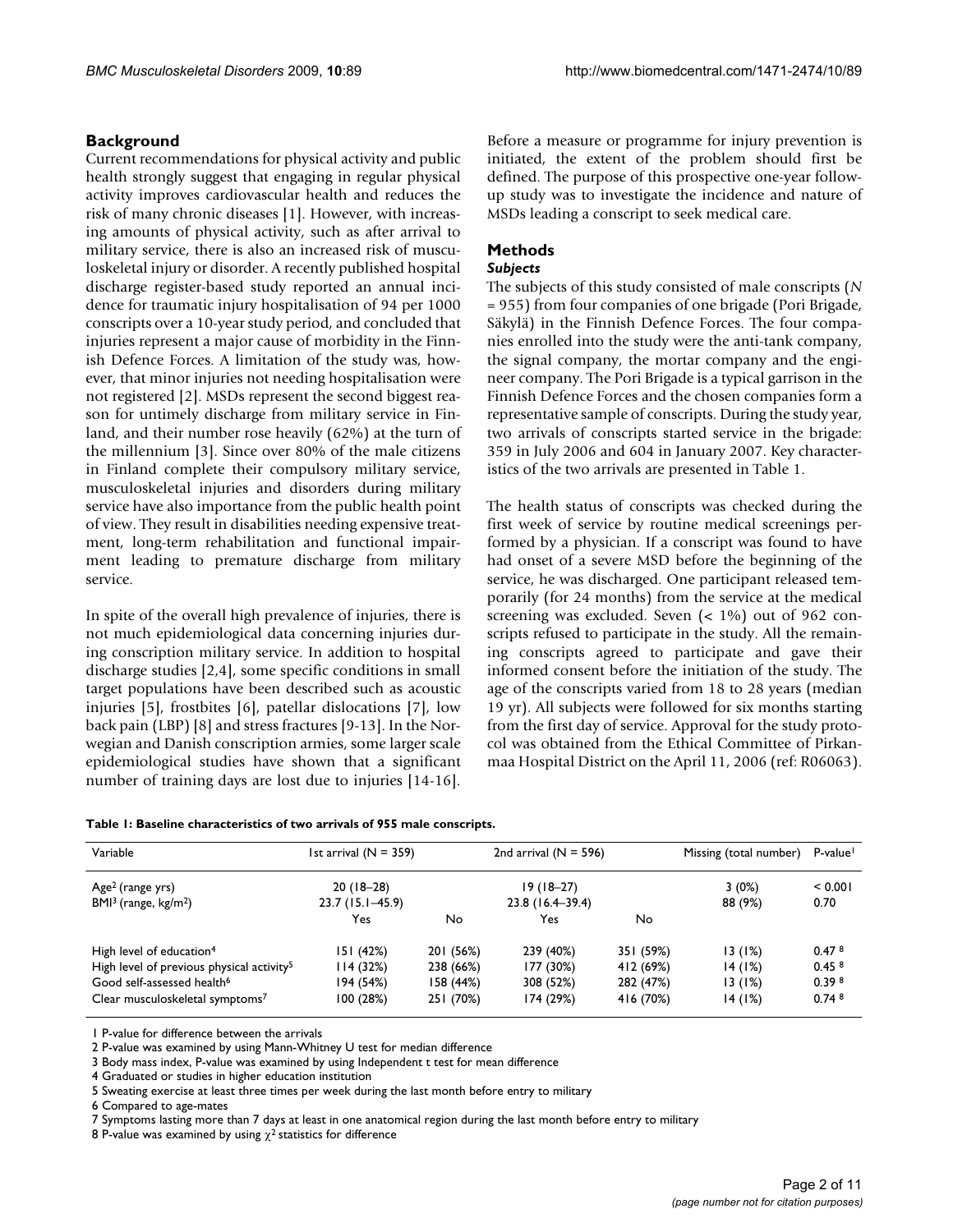# **Background**

Current recommendations for physical activity and public health strongly suggest that engaging in regular physical activity improves cardiovascular health and reduces the risk of many chronic diseases [1]. However, with increasing amounts of physical activity, such as after arrival to military service, there is also an increased risk of musculoskeletal injury or disorder. A recently published hospital discharge register-based study reported an annual incidence for traumatic injury hospitalisation of 94 per 1000 conscripts over a 10-year study period, and concluded that injuries represent a major cause of morbidity in the Finnish Defence Forces. A limitation of the study was, however, that minor injuries not needing hospitalisation were not registered [2]. MSDs represent the second biggest reason for untimely discharge from military service in Finland, and their number rose heavily (62%) at the turn of the millennium [3]. Since over 80% of the male citizens in Finland complete their compulsory military service, musculoskeletal injuries and disorders during military service have also importance from the public health point of view. They result in disabilities needing expensive treatment, long-term rehabilitation and functional impairment leading to premature discharge from military service.

In spite of the overall high prevalence of injuries, there is not much epidemiological data concerning injuries during conscription military service. In addition to hospital discharge studies [2,4], some specific conditions in small target populations have been described such as acoustic injuries [5], frostbites [6], patellar dislocations [7], low back pain (LBP) [8] and stress fractures [9-13]. In the Norwegian and Danish conscription armies, some larger scale epidemiological studies have shown that a significant number of training days are lost due to injuries [14-16].

|  |  |  | Table 1: Baseline characteristics of two arrivals of 955 male conscripts. |  |  |  |  |  |
|--|--|--|---------------------------------------------------------------------------|--|--|--|--|--|
|--|--|--|---------------------------------------------------------------------------|--|--|--|--|--|

| Variable                                              | 1st arrival $(N = 359)$ |           | 2nd arrival $(N = 596)$ |           | Missing (total number) | P-value <sup>1</sup> |
|-------------------------------------------------------|-------------------------|-----------|-------------------------|-----------|------------------------|----------------------|
| Age <sup>2</sup> (range yrs)                          | $20(18-28)$             |           | $19(18-27)$             |           | $3(0\%)$               | < 0.001              |
| $BMI3$ (range, kg/m <sup>2</sup> )                    | $23.7(15.1 - 45.9)$     |           | $23.8(16.4-39.4)$       |           | 88 (9%)                | 0.70                 |
|                                                       | Yes                     | No        | Yes                     | No        |                        |                      |
| High level of education <sup>4</sup>                  | 151(42%)                | 201 (56%) | 239 (40%)               | 351 (59%) | 13(1%)                 | 0.47 <sup>8</sup>    |
| High level of previous physical activity <sup>5</sup> | 114(32%)                | 238 (66%) | 177 (30%)               | 412 (69%) | 14(1%)                 | 0.45 <sup>8</sup>    |
| Good self-assessed health <sup>6</sup>                | 194 (54%)               | 158 (44%) | 308 (52%)               | 282 (47%) | 13(1%)                 | 0.398                |
| Clear musculoskeletal symptoms7                       | 100(28%)                | 251 (70%) | 174 (29%)               | 416 (70%) | 14(1%)                 | 0.74 <sup>8</sup>    |

1 P-value for difference between the arrivals

2 P-value was examined by using Mann-Whitney U test for median difference

3 Body mass index, P-value was examined by using Independent t test for mean difference

4 Graduated or studies in higher education institution

6 Compared to age-mates

7 Symptoms lasting more than 7 days at least in one anatomical region during the last month before entry to military

8 P-value was examined by using  $\chi^2$  statistics for difference

Before a measure or programme for injury prevention is initiated, the extent of the problem should first be defined. The purpose of this prospective one-year followup study was to investigate the incidence and nature of MSDs leading a conscript to seek medical care.

#### **Methods**

#### *Subjects*

The subjects of this study consisted of male conscripts (*N* = 955) from four companies of one brigade (Pori Brigade, Säkylä) in the Finnish Defence Forces. The four companies enrolled into the study were the anti-tank company, the signal company, the mortar company and the engineer company. The Pori Brigade is a typical garrison in the Finnish Defence Forces and the chosen companies form a representative sample of conscripts. During the study year, two arrivals of conscripts started service in the brigade: 359 in July 2006 and 604 in January 2007. Key characteristics of the two arrivals are presented in Table 1.

The health status of conscripts was checked during the first week of service by routine medical screenings performed by a physician. If a conscript was found to have had onset of a severe MSD before the beginning of the service, he was discharged. One participant released temporarily (for 24 months) from the service at the medical screening was excluded. Seven (< 1%) out of 962 conscripts refused to participate in the study. All the remaining conscripts agreed to participate and gave their informed consent before the initiation of the study. The age of the conscripts varied from 18 to 28 years (median 19 yr). All subjects were followed for six months starting from the first day of service. Approval for the study protocol was obtained from the Ethical Committee of Pirkanmaa Hospital District on the April 11, 2006 (ref: R06063).

<sup>5</sup> Sweating exercise at least three times per week during the last month before entry to military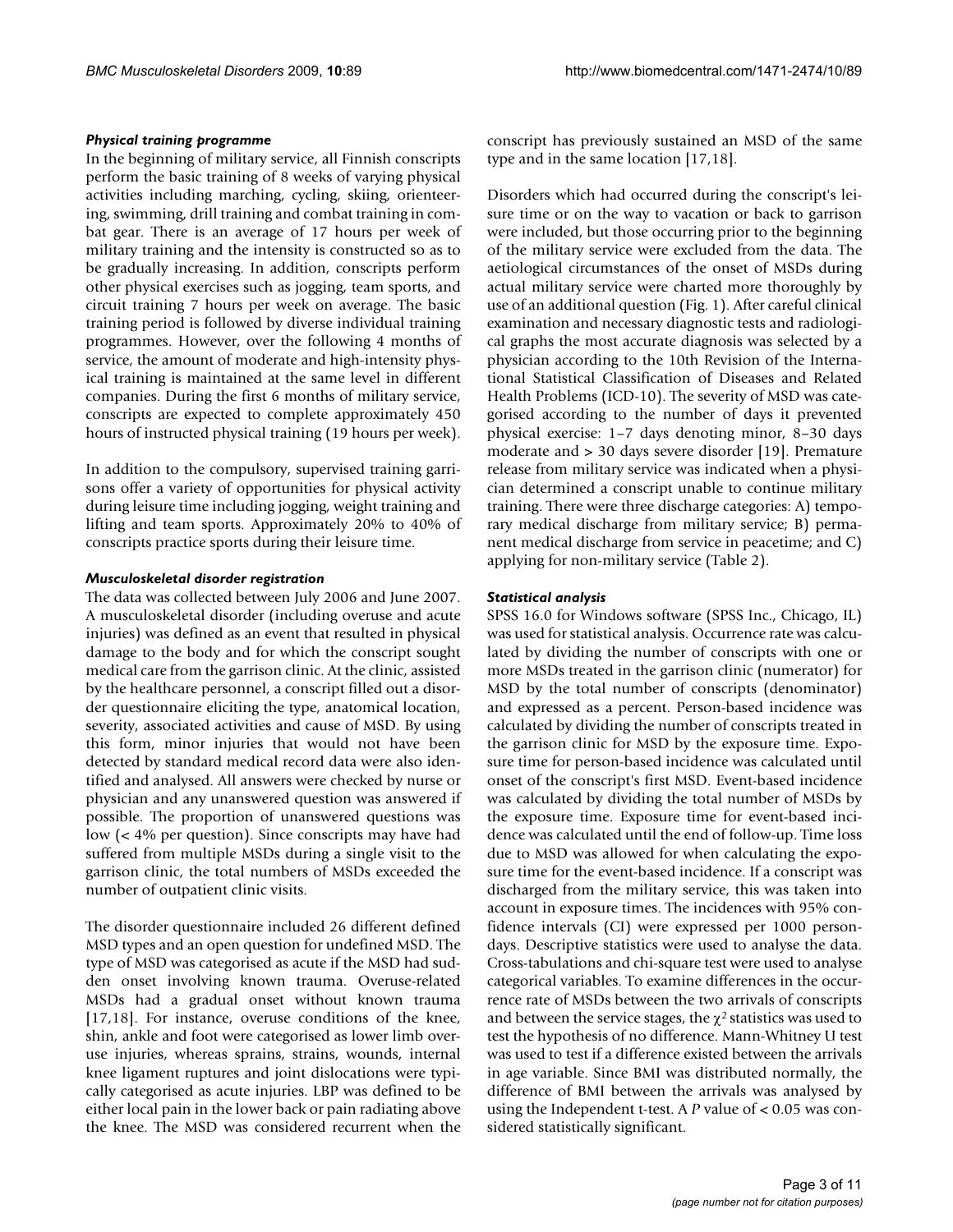#### *Physical training programme*

In the beginning of military service, all Finnish conscripts perform the basic training of 8 weeks of varying physical activities including marching, cycling, skiing, orienteering, swimming, drill training and combat training in combat gear. There is an average of 17 hours per week of military training and the intensity is constructed so as to be gradually increasing. In addition, conscripts perform other physical exercises such as jogging, team sports, and circuit training 7 hours per week on average. The basic training period is followed by diverse individual training programmes. However, over the following 4 months of service, the amount of moderate and high-intensity physical training is maintained at the same level in different companies. During the first 6 months of military service, conscripts are expected to complete approximately 450 hours of instructed physical training (19 hours per week).

In addition to the compulsory, supervised training garrisons offer a variety of opportunities for physical activity during leisure time including jogging, weight training and lifting and team sports. Approximately 20% to 40% of conscripts practice sports during their leisure time.

## *Musculoskeletal disorder registration*

The data was collected between July 2006 and June 2007. A musculoskeletal disorder (including overuse and acute injuries) was defined as an event that resulted in physical damage to the body and for which the conscript sought medical care from the garrison clinic. At the clinic, assisted by the healthcare personnel, a conscript filled out a disorder questionnaire eliciting the type, anatomical location, severity, associated activities and cause of MSD. By using this form, minor injuries that would not have been detected by standard medical record data were also identified and analysed. All answers were checked by nurse or physician and any unanswered question was answered if possible. The proportion of unanswered questions was low (< 4% per question). Since conscripts may have had suffered from multiple MSDs during a single visit to the garrison clinic, the total numbers of MSDs exceeded the number of outpatient clinic visits.

The disorder questionnaire included 26 different defined MSD types and an open question for undefined MSD. The type of MSD was categorised as acute if the MSD had sudden onset involving known trauma. Overuse-related MSDs had a gradual onset without known trauma [17,18]. For instance, overuse conditions of the knee, shin, ankle and foot were categorised as lower limb overuse injuries, whereas sprains, strains, wounds, internal knee ligament ruptures and joint dislocations were typically categorised as acute injuries. LBP was defined to be either local pain in the lower back or pain radiating above the knee. The MSD was considered recurrent when the conscript has previously sustained an MSD of the same type and in the same location [17,18].

Disorders which had occurred during the conscript's leisure time or on the way to vacation or back to garrison were included, but those occurring prior to the beginning of the military service were excluded from the data. The aetiological circumstances of the onset of MSDs during actual military service were charted more thoroughly by use of an additional question (Fig. 1). After careful clinical examination and necessary diagnostic tests and radiological graphs the most accurate diagnosis was selected by a physician according to the 10th Revision of the International Statistical Classification of Diseases and Related Health Problems (ICD-10). The severity of MSD was categorised according to the number of days it prevented physical exercise: 1–7 days denoting minor, 8–30 days moderate and > 30 days severe disorder [19]. Premature release from military service was indicated when a physician determined a conscript unable to continue military training. There were three discharge categories: A) temporary medical discharge from military service; B) permanent medical discharge from service in peacetime; and C) applying for non-military service (Table 2).

## *Statistical analysis*

SPSS 16.0 for Windows software (SPSS Inc., Chicago, IL) was used for statistical analysis. Occurrence rate was calculated by dividing the number of conscripts with one or more MSDs treated in the garrison clinic (numerator) for MSD by the total number of conscripts (denominator) and expressed as a percent. Person-based incidence was calculated by dividing the number of conscripts treated in the garrison clinic for MSD by the exposure time. Exposure time for person-based incidence was calculated until onset of the conscript's first MSD. Event-based incidence was calculated by dividing the total number of MSDs by the exposure time. Exposure time for event-based incidence was calculated until the end of follow-up. Time loss due to MSD was allowed for when calculating the exposure time for the event-based incidence. If a conscript was discharged from the military service, this was taken into account in exposure times. The incidences with 95% confidence intervals (CI) were expressed per 1000 persondays. Descriptive statistics were used to analyse the data. Cross-tabulations and chi-square test were used to analyse categorical variables. To examine differences in the occurrence rate of MSDs between the two arrivals of conscripts and between the service stages, the  $\chi^2$  statistics was used to test the hypothesis of no difference. Mann-Whitney U test was used to test if a difference existed between the arrivals in age variable. Since BMI was distributed normally, the difference of BMI between the arrivals was analysed by using the Independent t-test. A *P* value of < 0.05 was considered statistically significant.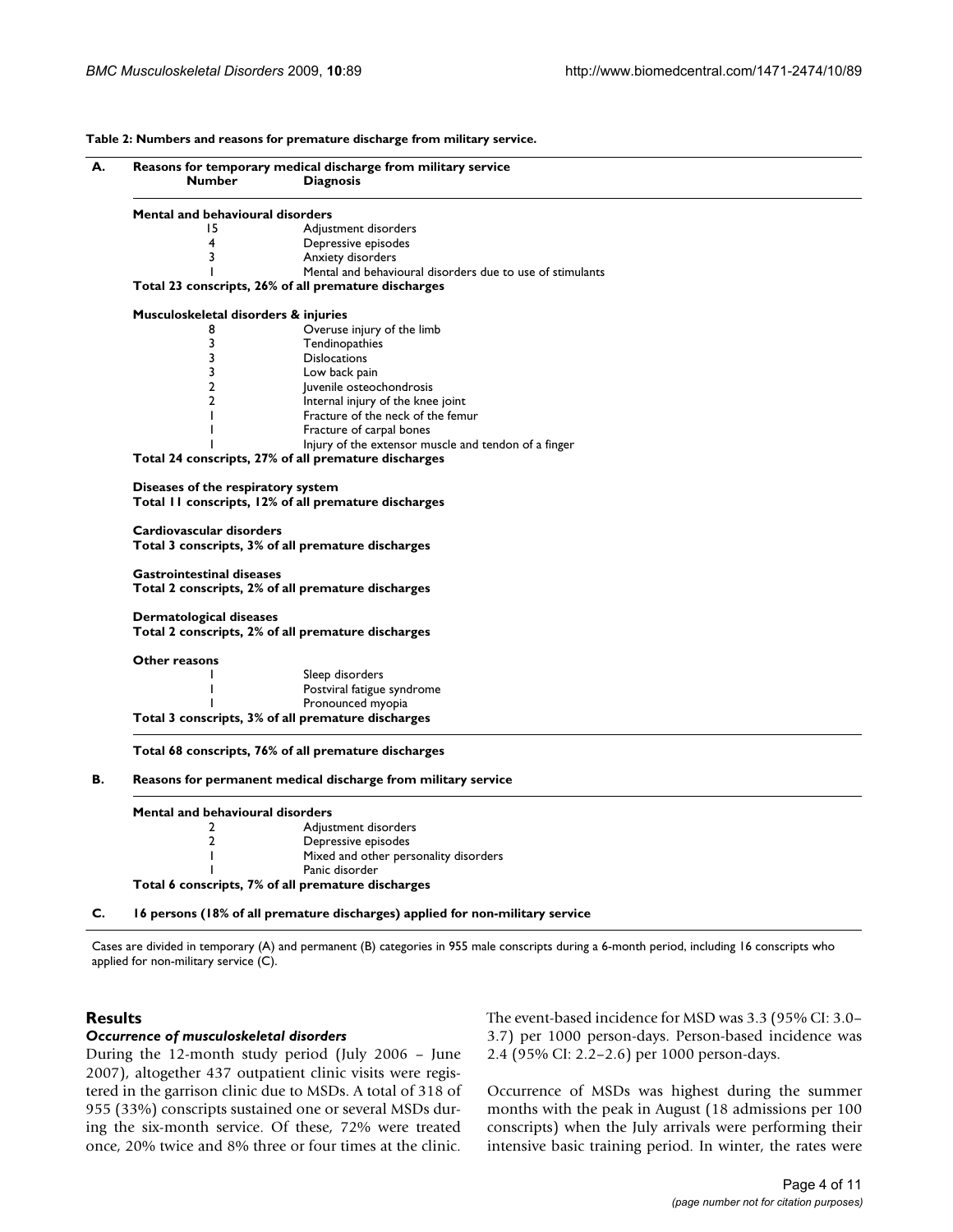**Table 2: Numbers and reasons for premature discharge from military service.** 

|                                                                                         | <b>Diagnosis</b>                                                                                         |
|-----------------------------------------------------------------------------------------|----------------------------------------------------------------------------------------------------------|
| Mental and behavioural disorders                                                        |                                                                                                          |
| 15                                                                                      | Adjustment disorders                                                                                     |
| 4                                                                                       | Depressive episodes                                                                                      |
| 3                                                                                       | Anxiety disorders                                                                                        |
| Т                                                                                       | Mental and behavioural disorders due to use of stimulants                                                |
|                                                                                         | Total 23 conscripts, 26% of all premature discharges                                                     |
| Musculoskeletal disorders & injuries                                                    |                                                                                                          |
| 8                                                                                       | Overuse injury of the limb                                                                               |
| 3                                                                                       | Tendinopathies                                                                                           |
| 3                                                                                       | <b>Dislocations</b>                                                                                      |
| 3                                                                                       | Low back pain                                                                                            |
| 2                                                                                       | Juvenile osteochondrosis                                                                                 |
| $\overline{2}$                                                                          | Internal injury of the knee joint                                                                        |
|                                                                                         | Fracture of the neck of the femur                                                                        |
|                                                                                         | Fracture of carpal bones                                                                                 |
|                                                                                         | Injury of the extensor muscle and tendon of a finger                                                     |
|                                                                                         | Total 24 conscripts, 27% of all premature discharges                                                     |
|                                                                                         | Total II conscripts, 12% of all premature discharges                                                     |
| Cardiovascular disorders<br><b>Gastrointestinal diseases</b><br>Dermatological diseases | Total 3 conscripts, 3% of all premature discharges<br>Total 2 conscripts, 2% of all premature discharges |
|                                                                                         | Total 2 conscripts, 2% of all premature discharges                                                       |
| Other reasons                                                                           |                                                                                                          |
|                                                                                         | Sleep disorders                                                                                          |
|                                                                                         | Postviral fatigue syndrome                                                                               |
|                                                                                         | Pronounced myopia                                                                                        |
|                                                                                         | Total 3 conscripts, 3% of all premature discharges                                                       |
|                                                                                         | Total 68 conscripts, 76% of all premature discharges                                                     |
|                                                                                         | Reasons for permanent medical discharge from military service                                            |
|                                                                                         |                                                                                                          |
| Mental and behavioural disorders                                                        |                                                                                                          |
| 2                                                                                       | Adjustment disorders                                                                                     |
| 2                                                                                       | Depressive episodes                                                                                      |
| T                                                                                       | Mixed and other personality disorders<br>Panic disorder                                                  |

**Total 6 conscripts, 7% of all premature discharges**

**C. 16 persons (18% of all premature discharges) applied for non-military service**

Cases are divided in temporary (A) and permanent (B) categories in 955 male conscripts during a 6-month period, including 16 conscripts who applied for non-military service (C).

# **Results**

#### *Occurrence of musculoskeletal disorders*

During the 12-month study period (July 2006 – June 2007), altogether 437 outpatient clinic visits were registered in the garrison clinic due to MSDs. A total of 318 of 955 (33%) conscripts sustained one or several MSDs during the six-month service. Of these, 72% were treated once, 20% twice and 8% three or four times at the clinic. The event-based incidence for MSD was 3.3 (95% CI: 3.0– 3.7) per 1000 person-days. Person-based incidence was 2.4 (95% CI: 2.2–2.6) per 1000 person-days.

Occurrence of MSDs was highest during the summer months with the peak in August (18 admissions per 100 conscripts) when the July arrivals were performing their intensive basic training period. In winter, the rates were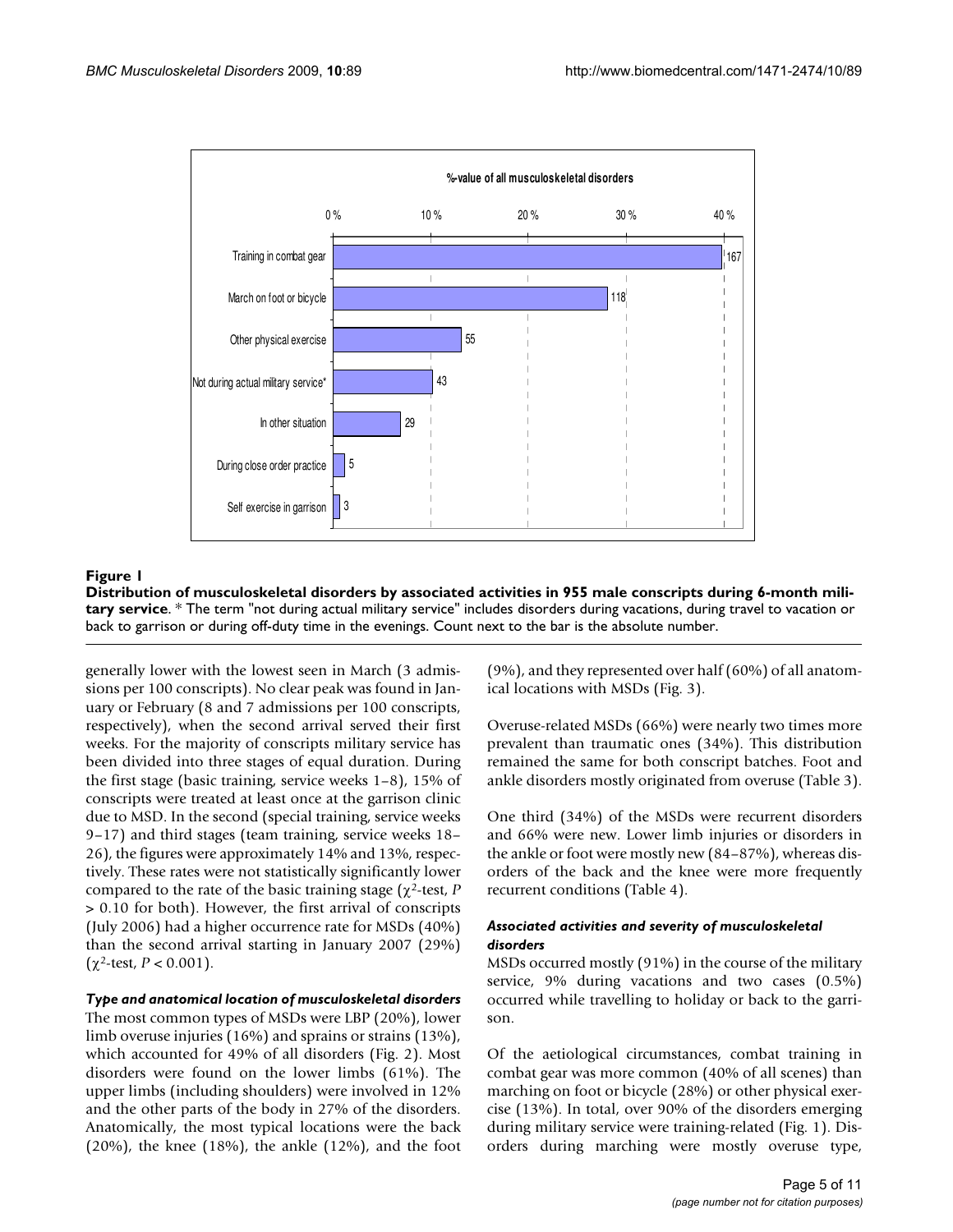

# **Figure 1** Distribution of musculoskeletal disorders by associated activities in 955 male conscripts during 6-month military service

**Distribution of musculoskeletal disorders by associated activities in 955 male conscripts during 6-month military service**. \* The term "not during actual military service" includes disorders during vacations, during travel to vacation or back to garrison or during off-duty time in the evenings. Count next to the bar is the absolute number.

generally lower with the lowest seen in March (3 admissions per 100 conscripts). No clear peak was found in January or February (8 and 7 admissions per 100 conscripts, respectively), when the second arrival served their first weeks. For the majority of conscripts military service has been divided into three stages of equal duration. During the first stage (basic training, service weeks 1–8), 15% of conscripts were treated at least once at the garrison clinic due to MSD. In the second (special training, service weeks 9–17) and third stages (team training, service weeks 18– 26), the figures were approximately 14% and 13%, respectively. These rates were not statistically significantly lower compared to the rate of the basic training stage (χ2-test, *P* > 0.10 for both). However, the first arrival of conscripts (July 2006) had a higher occurrence rate for MSDs (40%) than the second arrival starting in January 2007 (29%) (χ2-test, *P* < 0.001).

#### *Type and anatomical location of musculoskeletal disorders*

The most common types of MSDs were LBP (20%), lower limb overuse injuries (16%) and sprains or strains (13%), which accounted for 49% of all disorders (Fig. 2). Most disorders were found on the lower limbs (61%). The upper limbs (including shoulders) were involved in 12% and the other parts of the body in 27% of the disorders. Anatomically, the most typical locations were the back  $(20\%)$ , the knee  $(18\%)$ , the ankle  $(12\%)$ , and the foot

(9%), and they represented over half (60%) of all anatomical locations with MSDs (Fig. 3).

Overuse-related MSDs (66%) were nearly two times more prevalent than traumatic ones (34%). This distribution remained the same for both conscript batches. Foot and ankle disorders mostly originated from overuse (Table 3).

One third (34%) of the MSDs were recurrent disorders and 66% were new. Lower limb injuries or disorders in the ankle or foot were mostly new (84–87%), whereas disorders of the back and the knee were more frequently recurrent conditions (Table 4).

## *Associated activities and severity of musculoskeletal disorders*

MSDs occurred mostly (91%) in the course of the military service, 9% during vacations and two cases (0.5%) occurred while travelling to holiday or back to the garrison.

Of the aetiological circumstances, combat training in combat gear was more common (40% of all scenes) than marching on foot or bicycle (28%) or other physical exercise (13%). In total, over 90% of the disorders emerging during military service were training-related (Fig. 1). Disorders during marching were mostly overuse type,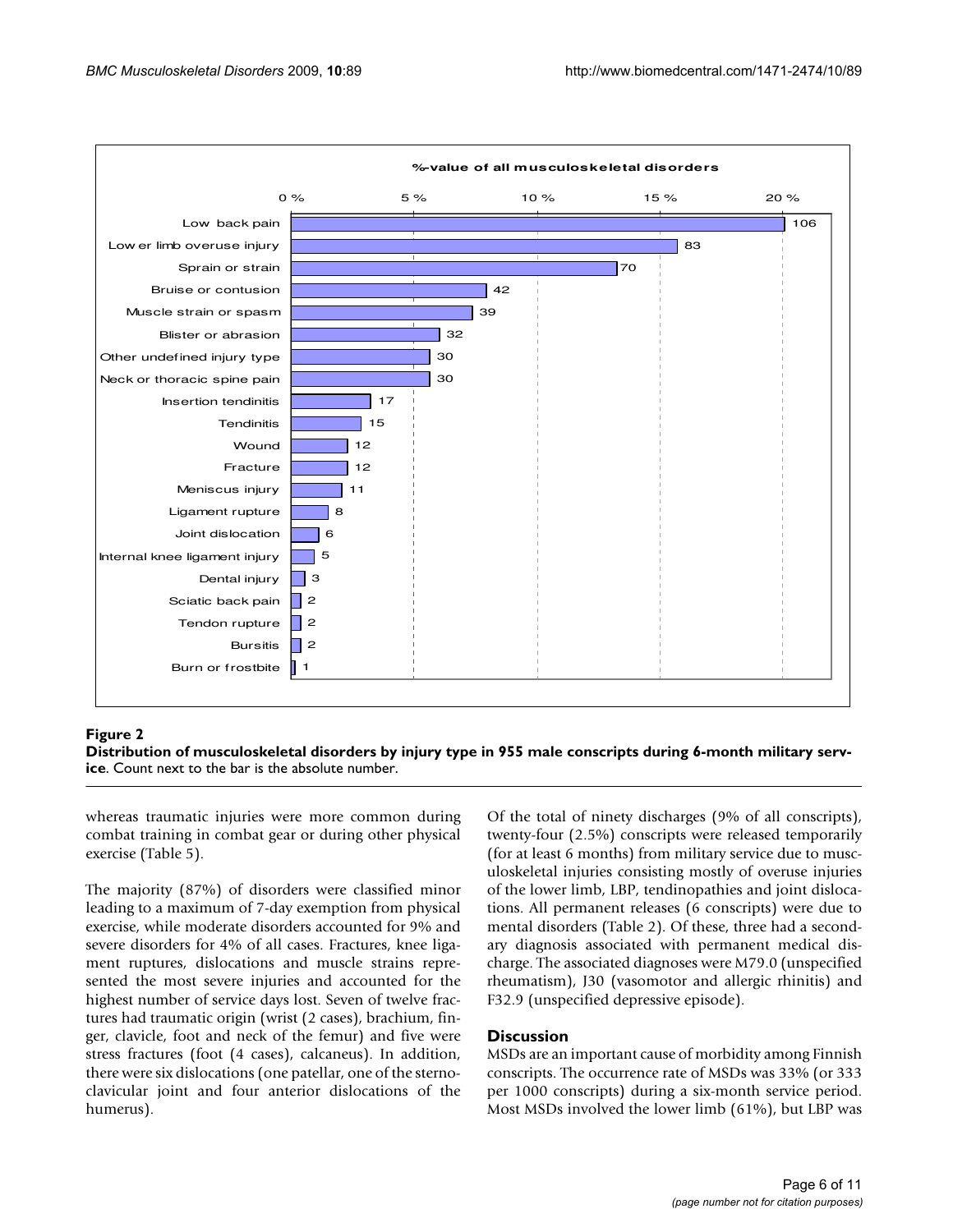

#### Distribution of musculoskeletal **Figure 2** disorders by injury type in 955 male conscripts during 6-month military service

**Distribution of musculoskeletal disorders by injury type in 955 male conscripts during 6-month military service**. Count next to the bar is the absolute number.

whereas traumatic injuries were more common during combat training in combat gear or during other physical exercise (Table 5).

The majority (87%) of disorders were classified minor leading to a maximum of 7-day exemption from physical exercise, while moderate disorders accounted for 9% and severe disorders for 4% of all cases. Fractures, knee ligament ruptures, dislocations and muscle strains represented the most severe injuries and accounted for the highest number of service days lost. Seven of twelve fractures had traumatic origin (wrist (2 cases), brachium, finger, clavicle, foot and neck of the femur) and five were stress fractures (foot (4 cases), calcaneus). In addition, there were six dislocations (one patellar, one of the sternoclavicular joint and four anterior dislocations of the humerus).

Of the total of ninety discharges (9% of all conscripts), twenty-four (2.5%) conscripts were released temporarily (for at least 6 months) from military service due to musculoskeletal injuries consisting mostly of overuse injuries of the lower limb, LBP, tendinopathies and joint dislocations. All permanent releases (6 conscripts) were due to mental disorders (Table 2). Of these, three had a secondary diagnosis associated with permanent medical discharge. The associated diagnoses were M79.0 (unspecified rheumatism), J30 (vasomotor and allergic rhinitis) and F32.9 (unspecified depressive episode).

#### **Discussion**

MSDs are an important cause of morbidity among Finnish conscripts. The occurrence rate of MSDs was 33% (or 333 per 1000 conscripts) during a six-month service period. Most MSDs involved the lower limb (61%), but LBP was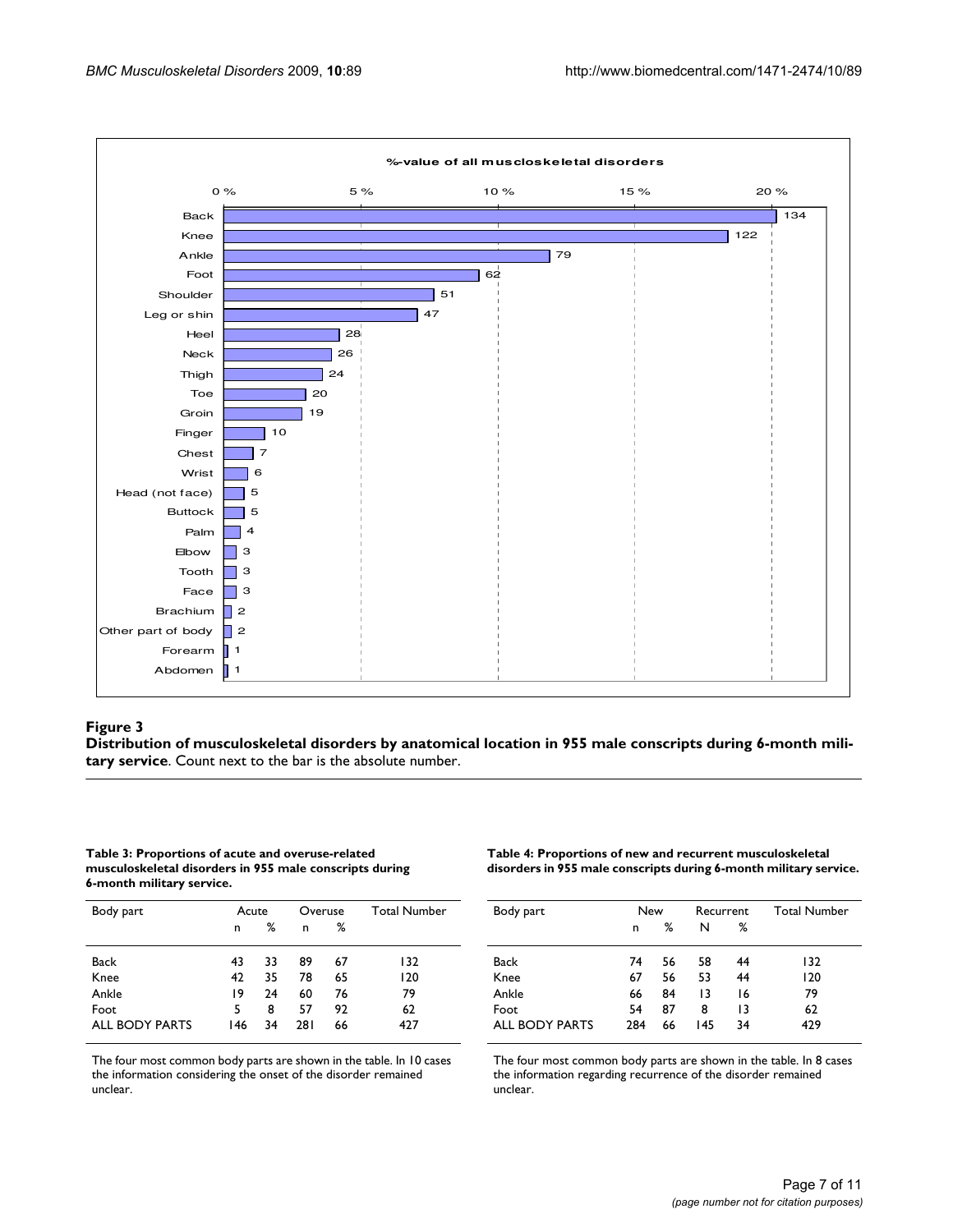

#### Distribution of musculoskeletal **Figure 3** disorders by anatomical location in 955 male conscripts during 6-month military service

**Distribution of musculoskeletal disorders by anatomical location in 955 male conscripts during 6-month military service**. Count next to the bar is the absolute number.

#### **Table 3: Proportions of acute and overuse-related musculoskeletal disorders in 955 male conscripts during 6-month military service.**

| Body part      | Acute |    | Overuse |    | <b>Total Number</b> |
|----------------|-------|----|---------|----|---------------------|
|                | n     | ℅  | n       | ℅  |                     |
| Back           | 43    | 33 | 89      | 67 | 132                 |
| Knee           | 42    | 35 | 78      | 65 | 120                 |
| Ankle          | 19    | 24 | 60      | 76 | 79                  |
| Foot           | 5     | 8  | 57      | 92 | 62                  |
| ALL BODY PARTS | 146   | 34 | 281     | 66 | 427                 |

The four most common body parts are shown in the table. In 10 cases the information considering the onset of the disorder remained unclear.

**Table 4: Proportions of new and recurrent musculoskeletal disorders in 955 male conscripts during 6-month military service.** 

| Body part      | New |    | Recurrent |    | <b>Total Number</b> |
|----------------|-----|----|-----------|----|---------------------|
|                | n   | %  | N         | ℅  |                     |
| Back           | 74  | 56 | 58        | 44 | 132                 |
| Knee           | 67  | 56 | 53        | 44 | 120                 |
| Ankle          | 66  | 84 | 13        | 16 | 79                  |
| Foot           | 54  | 87 | 8         | 13 | 62                  |
| ALL BODY PARTS | 284 | 66 | 145       | 34 | 429                 |

The four most common body parts are shown in the table. In 8 cases the information regarding recurrence of the disorder remained unclear.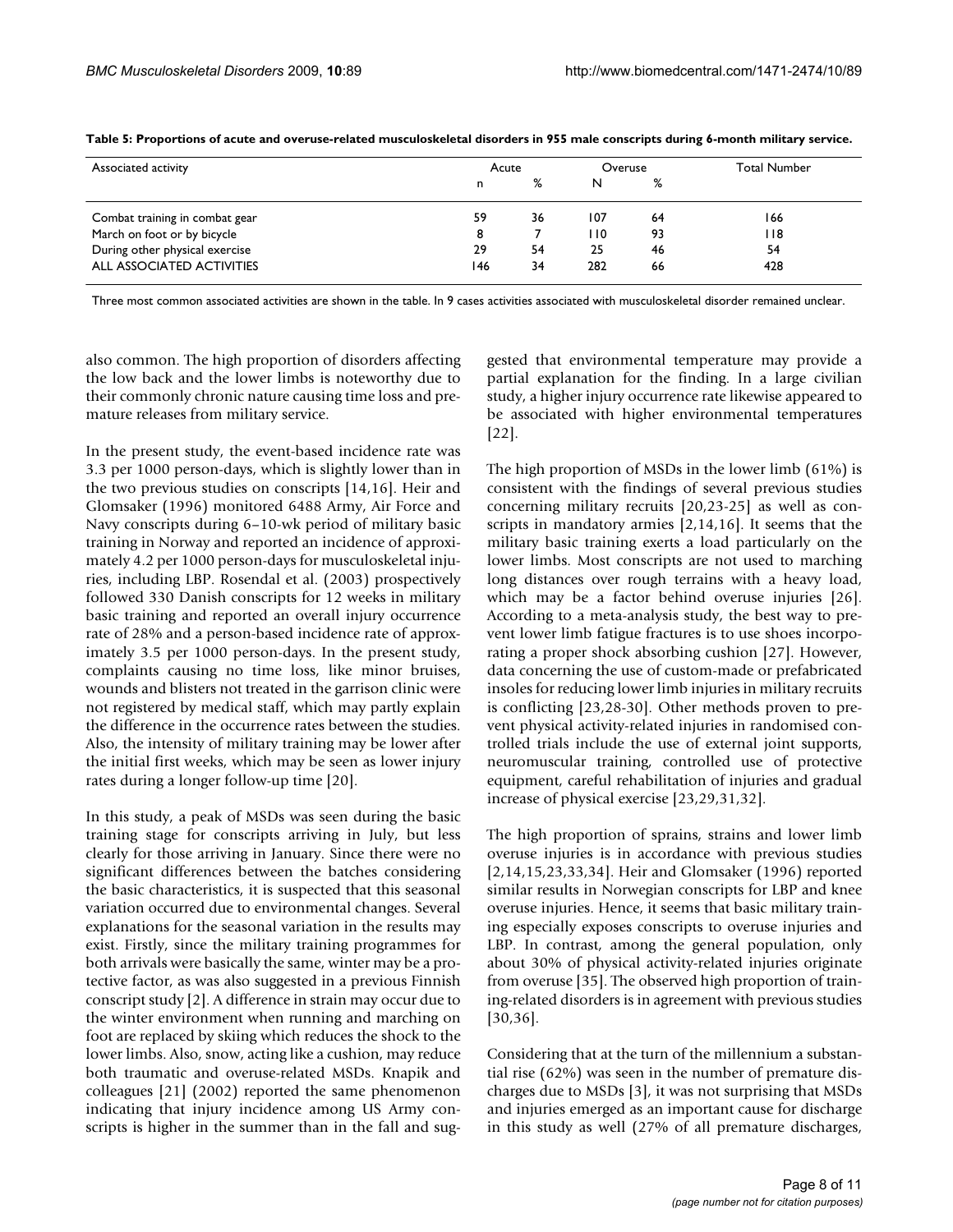| Associated activity            |     | Acute |      | Overuse | <b>Total Number</b> |
|--------------------------------|-----|-------|------|---------|---------------------|
|                                | n   | %     | N    | %       |                     |
| Combat training in combat gear | 59  | 36    | 107  | 64      | 166                 |
| March on foot or by bicycle    | 8   |       | l 10 | 93      | 118                 |
| During other physical exercise | 29  | 54    | 25   | 46      | 54                  |
| ALL ASSOCIATED ACTIVITIES      | 146 | 34    | 282  | 66      | 428                 |

**Table 5: Proportions of acute and overuse-related musculoskeletal disorders in 955 male conscripts during 6-month military service.** 

Three most common associated activities are shown in the table. In 9 cases activities associated with musculoskeletal disorder remained unclear.

also common. The high proportion of disorders affecting the low back and the lower limbs is noteworthy due to their commonly chronic nature causing time loss and premature releases from military service.

In the present study, the event-based incidence rate was 3.3 per 1000 person-days, which is slightly lower than in the two previous studies on conscripts [14,16]. Heir and Glomsaker (1996) monitored 6488 Army, Air Force and Navy conscripts during 6–10-wk period of military basic training in Norway and reported an incidence of approximately 4.2 per 1000 person-days for musculoskeletal injuries, including LBP. Rosendal et al. (2003) prospectively followed 330 Danish conscripts for 12 weeks in military basic training and reported an overall injury occurrence rate of 28% and a person-based incidence rate of approximately 3.5 per 1000 person-days. In the present study, complaints causing no time loss, like minor bruises, wounds and blisters not treated in the garrison clinic were not registered by medical staff, which may partly explain the difference in the occurrence rates between the studies. Also, the intensity of military training may be lower after the initial first weeks, which may be seen as lower injury rates during a longer follow-up time [20].

In this study, a peak of MSDs was seen during the basic training stage for conscripts arriving in July, but less clearly for those arriving in January. Since there were no significant differences between the batches considering the basic characteristics, it is suspected that this seasonal variation occurred due to environmental changes. Several explanations for the seasonal variation in the results may exist. Firstly, since the military training programmes for both arrivals were basically the same, winter may be a protective factor, as was also suggested in a previous Finnish conscript study [2]. A difference in strain may occur due to the winter environment when running and marching on foot are replaced by skiing which reduces the shock to the lower limbs. Also, snow, acting like a cushion, may reduce both traumatic and overuse-related MSDs. Knapik and colleagues [21] (2002) reported the same phenomenon indicating that injury incidence among US Army conscripts is higher in the summer than in the fall and suggested that environmental temperature may provide a partial explanation for the finding. In a large civilian study, a higher injury occurrence rate likewise appeared to be associated with higher environmental temperatures [22].

The high proportion of MSDs in the lower limb (61%) is consistent with the findings of several previous studies concerning military recruits [20,23-25] as well as conscripts in mandatory armies [2,14,16]. It seems that the military basic training exerts a load particularly on the lower limbs. Most conscripts are not used to marching long distances over rough terrains with a heavy load, which may be a factor behind overuse injuries [26]. According to a meta-analysis study, the best way to prevent lower limb fatigue fractures is to use shoes incorporating a proper shock absorbing cushion [27]. However, data concerning the use of custom-made or prefabricated insoles for reducing lower limb injuries in military recruits is conflicting [23,28-30]. Other methods proven to prevent physical activity-related injuries in randomised controlled trials include the use of external joint supports, neuromuscular training, controlled use of protective equipment, careful rehabilitation of injuries and gradual increase of physical exercise [23,29,31,32].

The high proportion of sprains, strains and lower limb overuse injuries is in accordance with previous studies [2,14,15,23,33,34]. Heir and Glomsaker (1996) reported similar results in Norwegian conscripts for LBP and knee overuse injuries. Hence, it seems that basic military training especially exposes conscripts to overuse injuries and LBP. In contrast, among the general population, only about 30% of physical activity-related injuries originate from overuse [35]. The observed high proportion of training-related disorders is in agreement with previous studies [30,36].

Considering that at the turn of the millennium a substantial rise (62%) was seen in the number of premature discharges due to MSDs [3], it was not surprising that MSDs and injuries emerged as an important cause for discharge in this study as well (27% of all premature discharges,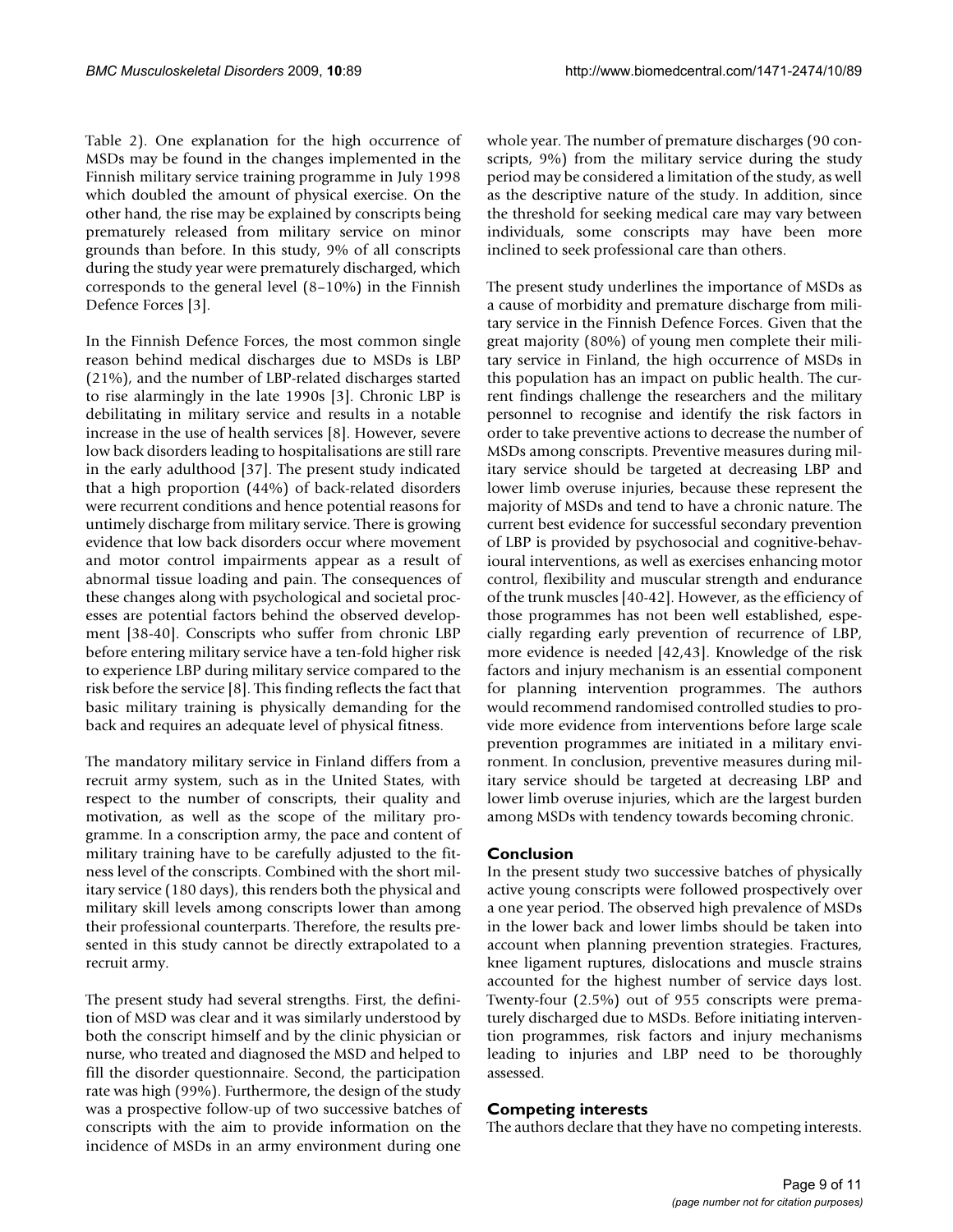Table 2). One explanation for the high occurrence of MSDs may be found in the changes implemented in the Finnish military service training programme in July 1998 which doubled the amount of physical exercise. On the other hand, the rise may be explained by conscripts being prematurely released from military service on minor grounds than before. In this study, 9% of all conscripts during the study year were prematurely discharged, which corresponds to the general level (8–10%) in the Finnish Defence Forces [3].

In the Finnish Defence Forces, the most common single reason behind medical discharges due to MSDs is LBP (21%), and the number of LBP-related discharges started to rise alarmingly in the late 1990s [3]. Chronic LBP is debilitating in military service and results in a notable increase in the use of health services [8]. However, severe low back disorders leading to hospitalisations are still rare in the early adulthood [37]. The present study indicated that a high proportion (44%) of back-related disorders were recurrent conditions and hence potential reasons for untimely discharge from military service. There is growing evidence that low back disorders occur where movement and motor control impairments appear as a result of abnormal tissue loading and pain. The consequences of these changes along with psychological and societal processes are potential factors behind the observed development [38-40]. Conscripts who suffer from chronic LBP before entering military service have a ten-fold higher risk to experience LBP during military service compared to the risk before the service [8]. This finding reflects the fact that basic military training is physically demanding for the back and requires an adequate level of physical fitness.

The mandatory military service in Finland differs from a recruit army system, such as in the United States, with respect to the number of conscripts, their quality and motivation, as well as the scope of the military programme. In a conscription army, the pace and content of military training have to be carefully adjusted to the fitness level of the conscripts. Combined with the short military service (180 days), this renders both the physical and military skill levels among conscripts lower than among their professional counterparts. Therefore, the results presented in this study cannot be directly extrapolated to a recruit army.

The present study had several strengths. First, the definition of MSD was clear and it was similarly understood by both the conscript himself and by the clinic physician or nurse, who treated and diagnosed the MSD and helped to fill the disorder questionnaire. Second, the participation rate was high (99%). Furthermore, the design of the study was a prospective follow-up of two successive batches of conscripts with the aim to provide information on the incidence of MSDs in an army environment during one whole year. The number of premature discharges (90 conscripts, 9%) from the military service during the study period may be considered a limitation of the study, as well as the descriptive nature of the study. In addition, since the threshold for seeking medical care may vary between individuals, some conscripts may have been more inclined to seek professional care than others.

The present study underlines the importance of MSDs as a cause of morbidity and premature discharge from military service in the Finnish Defence Forces. Given that the great majority (80%) of young men complete their military service in Finland, the high occurrence of MSDs in this population has an impact on public health. The current findings challenge the researchers and the military personnel to recognise and identify the risk factors in order to take preventive actions to decrease the number of MSDs among conscripts. Preventive measures during military service should be targeted at decreasing LBP and lower limb overuse injuries, because these represent the majority of MSDs and tend to have a chronic nature. The current best evidence for successful secondary prevention of LBP is provided by psychosocial and cognitive-behavioural interventions, as well as exercises enhancing motor control, flexibility and muscular strength and endurance of the trunk muscles [40-42]. However, as the efficiency of those programmes has not been well established, especially regarding early prevention of recurrence of LBP, more evidence is needed [42,43]. Knowledge of the risk factors and injury mechanism is an essential component for planning intervention programmes. The authors would recommend randomised controlled studies to provide more evidence from interventions before large scale prevention programmes are initiated in a military environment. In conclusion, preventive measures during military service should be targeted at decreasing LBP and lower limb overuse injuries, which are the largest burden among MSDs with tendency towards becoming chronic.

# **Conclusion**

In the present study two successive batches of physically active young conscripts were followed prospectively over a one year period. The observed high prevalence of MSDs in the lower back and lower limbs should be taken into account when planning prevention strategies. Fractures, knee ligament ruptures, dislocations and muscle strains accounted for the highest number of service days lost. Twenty-four (2.5%) out of 955 conscripts were prematurely discharged due to MSDs. Before initiating intervention programmes, risk factors and injury mechanisms leading to injuries and LBP need to be thoroughly assessed.

# **Competing interests**

The authors declare that they have no competing interests.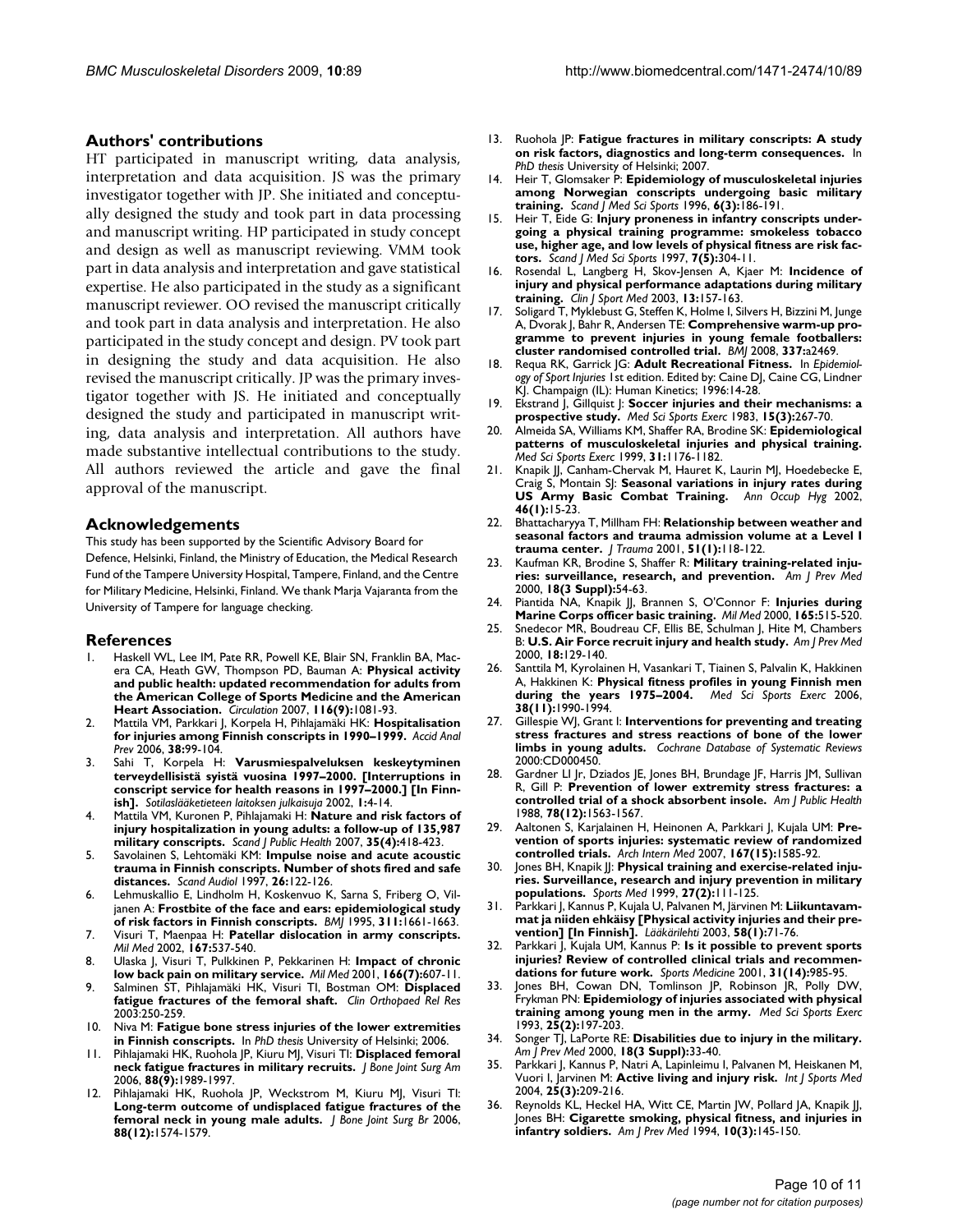# **Authors' contributions**

HT participated in manuscript writing, data analysis, interpretation and data acquisition. JS was the primary investigator together with JP. She initiated and conceptually designed the study and took part in data processing and manuscript writing. HP participated in study concept and design as well as manuscript reviewing. VMM took part in data analysis and interpretation and gave statistical expertise. He also participated in the study as a significant manuscript reviewer. OO revised the manuscript critically and took part in data analysis and interpretation. He also participated in the study concept and design. PV took part in designing the study and data acquisition. He also revised the manuscript critically. JP was the primary investigator together with JS. He initiated and conceptually designed the study and participated in manuscript writing, data analysis and interpretation. All authors have made substantive intellectual contributions to the study. All authors reviewed the article and gave the final approval of the manuscript.

## **Acknowledgements**

This study has been supported by the Scientific Advisory Board for Defence, Helsinki, Finland, the Ministry of Education, the Medical Research Fund of the Tampere University Hospital, Tampere, Finland, and the Centre for Military Medicine, Helsinki, Finland. We thank Marja Vajaranta from the University of Tampere for language checking.

#### **References**

- 1. Haskell WL, Lee IM, Pate RR, Powell KE, Blair SN, Franklin BA, Macera CA, Heath GW, Thompson PD, Bauman A: **[Physical activity](http://www.ncbi.nlm.nih.gov/entrez/query.fcgi?cmd=Retrieve&db=PubMed&dopt=Abstract&list_uids=17671237) [and public health: updated recommendation for adults from](http://www.ncbi.nlm.nih.gov/entrez/query.fcgi?cmd=Retrieve&db=PubMed&dopt=Abstract&list_uids=17671237) the American College of Sports Medicine and the American [Heart Association.](http://www.ncbi.nlm.nih.gov/entrez/query.fcgi?cmd=Retrieve&db=PubMed&dopt=Abstract&list_uids=17671237)** *Circulation* 2007, **116(9):**1081-93.
- 2. Mattila VM, Parkkari J, Korpela H, Pihlajamäki HK: **[Hospitalisation](http://www.ncbi.nlm.nih.gov/entrez/query.fcgi?cmd=Retrieve&db=PubMed&dopt=Abstract&list_uids=16162331) [for injuries among Finnish conscripts in 1990–1999.](http://www.ncbi.nlm.nih.gov/entrez/query.fcgi?cmd=Retrieve&db=PubMed&dopt=Abstract&list_uids=16162331)** *Accid Anal Prev* 2006, **38:**99-104.
- 3. Sahi T, Korpela H: **Varusmiespalveluksen keskeytyminen terveydellisistä syistä vuosina 1997–2000. [Interruptions in conscript service for health reasons in 1997–2000.] [In Finnish].** *Sotilaslääketieteen laitoksen julkaisuja* 2002, **1:**4-14.
- 4. Mattila VM, Kuronen P, Pihlajamaki H: **[Nature and risk factors of](http://www.ncbi.nlm.nih.gov/entrez/query.fcgi?cmd=Retrieve&db=PubMed&dopt=Abstract&list_uids=17786806) [injury hospitalization in young adults: a follow-up of 135,987](http://www.ncbi.nlm.nih.gov/entrez/query.fcgi?cmd=Retrieve&db=PubMed&dopt=Abstract&list_uids=17786806) [military conscripts.](http://www.ncbi.nlm.nih.gov/entrez/query.fcgi?cmd=Retrieve&db=PubMed&dopt=Abstract&list_uids=17786806)** *Scand J Public Health* 2007, **35(4):**418-423.
- 5. Savolainen S, Lehtomäki KM: **[Impulse noise and acute acoustic](http://www.ncbi.nlm.nih.gov/entrez/query.fcgi?cmd=Retrieve&db=PubMed&dopt=Abstract&list_uids=9187006) [trauma in Finnish conscripts. Number of shots fired and safe](http://www.ncbi.nlm.nih.gov/entrez/query.fcgi?cmd=Retrieve&db=PubMed&dopt=Abstract&list_uids=9187006) [distances.](http://www.ncbi.nlm.nih.gov/entrez/query.fcgi?cmd=Retrieve&db=PubMed&dopt=Abstract&list_uids=9187006)** *Scand Audiol* 1997, **26:**122-126.
- 6. Lehmuskallio E, Lindholm H, Koskenvuo K, Sarna S, Friberg O, Viljanen A: **[Frostbite of the face and ears: epidemiological study](http://www.ncbi.nlm.nih.gov/entrez/query.fcgi?cmd=Retrieve&db=PubMed&dopt=Abstract&list_uids=8541749) [of risk factors in Finnish conscripts.](http://www.ncbi.nlm.nih.gov/entrez/query.fcgi?cmd=Retrieve&db=PubMed&dopt=Abstract&list_uids=8541749)** *BMJ* 1995, **311:**1661-1663.
- 7. Visuri T, Maenpaa H: **[Patellar dislocation in army conscripts.](http://www.ncbi.nlm.nih.gov/entrez/query.fcgi?cmd=Retrieve&db=PubMed&dopt=Abstract&list_uids=12125843)** *Mil Med* 2002, **167:**537-540.
- 8. Ulaska J, Visuri T, Pulkkinen P, Pekkarinen H: **[Impact of chronic](http://www.ncbi.nlm.nih.gov/entrez/query.fcgi?cmd=Retrieve&db=PubMed&dopt=Abstract&list_uids=11469033) [low back pain on military service.](http://www.ncbi.nlm.nih.gov/entrez/query.fcgi?cmd=Retrieve&db=PubMed&dopt=Abstract&list_uids=11469033)** *Mil Med* 2001, **166(7):**607-11.
- 9. Salminen ST, Pihlajamäki HK, Visuri TI, Bostman OM: **Displaced fatigue fractures of the femoral shaft.** *Clin Orthopaed Rel Res* 2003:250-259.
- 10. Niva M: **Fatigue bone stress injuries of the lower extremities in Finnish conscripts.** In *PhD thesis* University of Helsinki; 2006.
- 11. Pihlajamaki HK, Ruohola JP, Kiuru MJ, Visuri TI: **[Displaced femoral](http://www.ncbi.nlm.nih.gov/entrez/query.fcgi?cmd=Retrieve&db=PubMed&dopt=Abstract&list_uids=16951116) [neck fatigue fractures in military recruits.](http://www.ncbi.nlm.nih.gov/entrez/query.fcgi?cmd=Retrieve&db=PubMed&dopt=Abstract&list_uids=16951116)** *J Bone Joint Surg Am* 2006, **88(9):**1989-1997.
- 12. Pihlajamaki HK, Ruohola JP, Weckstrom M, Kiuru MJ, Visuri TI: **[Long-term outcome of undisplaced fatigue fractures of the](http://www.ncbi.nlm.nih.gov/entrez/query.fcgi?cmd=Retrieve&db=PubMed&dopt=Abstract&list_uids=17159166) [femoral neck in young male adults.](http://www.ncbi.nlm.nih.gov/entrez/query.fcgi?cmd=Retrieve&db=PubMed&dopt=Abstract&list_uids=17159166)** *J Bone Joint Surg Br* 2006, **88(12):**1574-1579.
- 13. Ruohola JP: **Fatigue fractures in military conscripts: A study on risk factors, diagnostics and long-term consequences.** In *PhD thesis* University of Helsinki; 2007.
- 14. Heir T, Glomsaker P: **[Epidemiology of musculoskeletal injuries](http://www.ncbi.nlm.nih.gov/entrez/query.fcgi?cmd=Retrieve&db=PubMed&dopt=Abstract&list_uids=8827849) [among Norwegian conscripts undergoing basic military](http://www.ncbi.nlm.nih.gov/entrez/query.fcgi?cmd=Retrieve&db=PubMed&dopt=Abstract&list_uids=8827849) [training.](http://www.ncbi.nlm.nih.gov/entrez/query.fcgi?cmd=Retrieve&db=PubMed&dopt=Abstract&list_uids=8827849)** *Scand J Med Sci Sports* 1996, **6(3):**186-191.
- 15. Heir T, Eide G: **[Injury proneness in infantry conscripts under](http://www.ncbi.nlm.nih.gov/entrez/query.fcgi?cmd=Retrieve&db=PubMed&dopt=Abstract&list_uids=9338950)[going a physical training programme: smokeless tobacco](http://www.ncbi.nlm.nih.gov/entrez/query.fcgi?cmd=Retrieve&db=PubMed&dopt=Abstract&list_uids=9338950) use, higher age, and low levels of physical fitness are risk fac[tors.](http://www.ncbi.nlm.nih.gov/entrez/query.fcgi?cmd=Retrieve&db=PubMed&dopt=Abstract&list_uids=9338950)** *Scand J Med Sci Sports* 1997, **7(5):**304-11.
- 16. Rosendal L, Langberg H, Skov-Jensen A, Kjaer M: **[Incidence of](http://www.ncbi.nlm.nih.gov/entrez/query.fcgi?cmd=Retrieve&db=PubMed&dopt=Abstract&list_uids=12792210) [injury and physical performance adaptations during military](http://www.ncbi.nlm.nih.gov/entrez/query.fcgi?cmd=Retrieve&db=PubMed&dopt=Abstract&list_uids=12792210) [training.](http://www.ncbi.nlm.nih.gov/entrez/query.fcgi?cmd=Retrieve&db=PubMed&dopt=Abstract&list_uids=12792210)** *Clin J Sport Med* 2003, **13:**157-163.
- 17. Soligard T, Myklebust G, Steffen K, Holme I, Silvers H, Bizzini M, Junge A, Dvorak J, Bahr R, Andersen TE: **[Comprehensive warm-up pro](http://www.ncbi.nlm.nih.gov/entrez/query.fcgi?cmd=Retrieve&db=PubMed&dopt=Abstract&list_uids=19066253)[gramme to prevent injuries in young female footballers:](http://www.ncbi.nlm.nih.gov/entrez/query.fcgi?cmd=Retrieve&db=PubMed&dopt=Abstract&list_uids=19066253) [cluster randomised controlled trial.](http://www.ncbi.nlm.nih.gov/entrez/query.fcgi?cmd=Retrieve&db=PubMed&dopt=Abstract&list_uids=19066253)** *BMJ* 2008, **337:**a2469.
- 18. Requa RK, Garrick JG: **Adult Recreational Fitness.** In *Epidemiology of Sport Injuries* 1st edition. Edited by: Caine DJ, Caine CG, Lindner KJ. Champaign (IL): Human Kinetics; 1996:14-28.
- 19. Ekstrand J, Gillquist J: **[Soccer injuries and their mechanisms: a](http://www.ncbi.nlm.nih.gov/entrez/query.fcgi?cmd=Retrieve&db=PubMed&dopt=Abstract&list_uids=6621313) [prospective study.](http://www.ncbi.nlm.nih.gov/entrez/query.fcgi?cmd=Retrieve&db=PubMed&dopt=Abstract&list_uids=6621313)** *Med Sci Sports Exerc* 1983, **15(3):**267-70.
- 20. Almeida SA, Williams KM, Shaffer RA, Brodine SK: **[Epidemiological](http://www.ncbi.nlm.nih.gov/entrez/query.fcgi?cmd=Retrieve&db=PubMed&dopt=Abstract&list_uids=10449021) [patterns of musculoskeletal injuries and physical training.](http://www.ncbi.nlm.nih.gov/entrez/query.fcgi?cmd=Retrieve&db=PubMed&dopt=Abstract&list_uids=10449021)** *Med Sci Sports Exerc* 1999, **31:**1176-1182.
- Knapik JJ, Canham-Chervak M, Hauret K, Laurin MJ, Hoedebecke E, Craig S, Montain SJ: **[Seasonal variations in injury rates during](http://www.ncbi.nlm.nih.gov/entrez/query.fcgi?cmd=Retrieve&db=PubMed&dopt=Abstract&list_uids=12005127) [US Army Basic Combat Training.](http://www.ncbi.nlm.nih.gov/entrez/query.fcgi?cmd=Retrieve&db=PubMed&dopt=Abstract&list_uids=12005127)** *Ann Occup Hyg* 2002, **46(1):**15-23.
- 22. Bhattacharyya T, Millham FH: **[Relationship between weather and](http://www.ncbi.nlm.nih.gov/entrez/query.fcgi?cmd=Retrieve&db=PubMed&dopt=Abstract&list_uids=11468478) [seasonal factors and trauma admission volume at a Level I](http://www.ncbi.nlm.nih.gov/entrez/query.fcgi?cmd=Retrieve&db=PubMed&dopt=Abstract&list_uids=11468478) [trauma center.](http://www.ncbi.nlm.nih.gov/entrez/query.fcgi?cmd=Retrieve&db=PubMed&dopt=Abstract&list_uids=11468478)** *J Trauma* 2001, **51(1):**118-122.
- 23. Kaufman KR, Brodine S, Shaffer R: **[Military training-related inju](http://www.ncbi.nlm.nih.gov/entrez/query.fcgi?cmd=Retrieve&db=PubMed&dopt=Abstract&list_uids=10736541)[ries: surveillance, research, and prevention.](http://www.ncbi.nlm.nih.gov/entrez/query.fcgi?cmd=Retrieve&db=PubMed&dopt=Abstract&list_uids=10736541)** *Am J Prev Med* 2000, **18(3 Suppl):**54-63.
- 24. Piantida NA, Knapik JJ, Brannen S, O'Connor F: **[Injuries during](http://www.ncbi.nlm.nih.gov/entrez/query.fcgi?cmd=Retrieve&db=PubMed&dopt=Abstract&list_uids=10920649) [Marine Corps officer basic training.](http://www.ncbi.nlm.nih.gov/entrez/query.fcgi?cmd=Retrieve&db=PubMed&dopt=Abstract&list_uids=10920649)** *Mil Med* 2000, **165:**515-520.
- 25. Snedecor MR, Boudreau CF, Ellis BE, Schulman J, Hite M, Chambers B: **[U.S. Air Force recruit injury and health study.](http://www.ncbi.nlm.nih.gov/entrez/query.fcgi?cmd=Retrieve&db=PubMed&dopt=Abstract&list_uids=10736549)** *Am J Prev Med* 2000, **18:**129-140.
- 26. Santtila M, Kyrolainen H, Vasankari T, Tiainen S, Palvalin K, Hakkinen A, Hakkinen K: **[Physical fitness profiles in young Finnish men](http://www.ncbi.nlm.nih.gov/entrez/query.fcgi?cmd=Retrieve&db=PubMed&dopt=Abstract&list_uids=17095934) [during the years 1975–2004.](http://www.ncbi.nlm.nih.gov/entrez/query.fcgi?cmd=Retrieve&db=PubMed&dopt=Abstract&list_uids=17095934)** *Med Sci Sports Exerc* 2006, **38(11):**1990-1994.
- 27. Gillespie WJ, Grant I: **Interventions for preventing and treating stress fractures and stress reactions of bone of the lower limbs in young adults.** *Cochrane Database of Systematic Reviews* 2000:CD000450.
- 28. Gardner LI Jr, Dziados JE, Jones BH, Brundage JF, Harris JM, Sullivan R, Gill P: **[Prevention of lower extremity stress fractures: a](http://www.ncbi.nlm.nih.gov/entrez/query.fcgi?cmd=Retrieve&db=PubMed&dopt=Abstract&list_uids=3056045) [controlled trial of a shock absorbent insole.](http://www.ncbi.nlm.nih.gov/entrez/query.fcgi?cmd=Retrieve&db=PubMed&dopt=Abstract&list_uids=3056045)** *Am J Public Health* 1988, **78(12):**1563-1567.
- 29. Aaltonen S, Karjalainen H, Heinonen A, Parkkari J, Kujala UM: **[Pre](http://www.ncbi.nlm.nih.gov/entrez/query.fcgi?cmd=Retrieve&db=PubMed&dopt=Abstract&list_uids=17698680)[vention of sports injuries: systematic review of randomized](http://www.ncbi.nlm.nih.gov/entrez/query.fcgi?cmd=Retrieve&db=PubMed&dopt=Abstract&list_uids=17698680) [controlled trials.](http://www.ncbi.nlm.nih.gov/entrez/query.fcgi?cmd=Retrieve&db=PubMed&dopt=Abstract&list_uids=17698680)** *Arch Intern Med* 2007, **167(15):**1585-92.
- 30. Jones BH, Knapik J: [Physical training and exercise-related inju](http://www.ncbi.nlm.nih.gov/entrez/query.fcgi?cmd=Retrieve&db=PubMed&dopt=Abstract&list_uids=10091275)**[ries. Surveillance, research and injury prevention in military](http://www.ncbi.nlm.nih.gov/entrez/query.fcgi?cmd=Retrieve&db=PubMed&dopt=Abstract&list_uids=10091275) [populations.](http://www.ncbi.nlm.nih.gov/entrez/query.fcgi?cmd=Retrieve&db=PubMed&dopt=Abstract&list_uids=10091275)** *Sports Med* 1999, **27(2):**111-125.
- 31. Parkkari J, Kannus P, Kujala U, Palvanen M, Järvinen M: **Liikuntavammat ja niiden ehkäisy [Physical activity injuries and their prevention] [In Finnish].** *Lääkärilehti* 2003, **58(1):**71-76.
- 32. Parkkari J, Kujala UM, Kannus P: **[Is it possible to prevent sports](http://www.ncbi.nlm.nih.gov/entrez/query.fcgi?cmd=Retrieve&db=PubMed&dopt=Abstract&list_uids=11735682) [injuries? Review of controlled clinical trials and recommen](http://www.ncbi.nlm.nih.gov/entrez/query.fcgi?cmd=Retrieve&db=PubMed&dopt=Abstract&list_uids=11735682)[dations for future work.](http://www.ncbi.nlm.nih.gov/entrez/query.fcgi?cmd=Retrieve&db=PubMed&dopt=Abstract&list_uids=11735682)** *Sports Medicine* 2001, **31(14):**985-95.
- 33. Jones BH, Cowan DN, Tomlinson JP, Robinson JR, Polly DW, Frykman PN: **[Epidemiology of injuries associated with physical](http://www.ncbi.nlm.nih.gov/entrez/query.fcgi?cmd=Retrieve&db=PubMed&dopt=Abstract&list_uids=8450721) [training among young men in the army.](http://www.ncbi.nlm.nih.gov/entrez/query.fcgi?cmd=Retrieve&db=PubMed&dopt=Abstract&list_uids=8450721)** *Med Sci Sports Exerc* 1993, **25(2):**197-203.
- 34. Songer TJ, LaPorte RE: **[Disabilities due to injury in the military.](http://www.ncbi.nlm.nih.gov/entrez/query.fcgi?cmd=Retrieve&db=PubMed&dopt=Abstract&list_uids=10736539)** *Am J Prev Med* 2000, **18(3 Suppl):**33-40.
- 35. Parkkari J, Kannus P, Natri A, Lapinleimu I, Palvanen M, Heiskanen M, Vuori I, Jarvinen M: **[Active living and injury risk.](http://www.ncbi.nlm.nih.gov/entrez/query.fcgi?cmd=Retrieve&db=PubMed&dopt=Abstract&list_uids=15088246)** *Int J Sports Med* 2004, **25(3):**209-216.
- Reynolds KL, Heckel HA, Witt CE, Martin JW, Pollard JA, Knapik JJ, Jones BH: **[Cigarette smoking, physical fitness, and injuries in](http://www.ncbi.nlm.nih.gov/entrez/query.fcgi?cmd=Retrieve&db=PubMed&dopt=Abstract&list_uids=7917440) [infantry soldiers.](http://www.ncbi.nlm.nih.gov/entrez/query.fcgi?cmd=Retrieve&db=PubMed&dopt=Abstract&list_uids=7917440)** *Am J Prev Med* 1994, **10(3):**145-150.